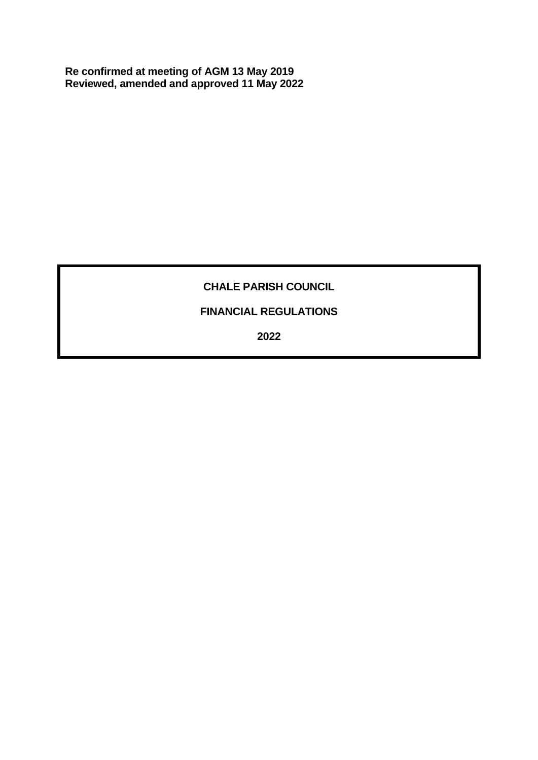**Re confirmed at meeting of AGM 13 May 2019 Reviewed, amended and approved 11 May 2022**

# **CHALE PARISH COUNCIL**

# **FINANCIAL REGULATIONS**

**2022**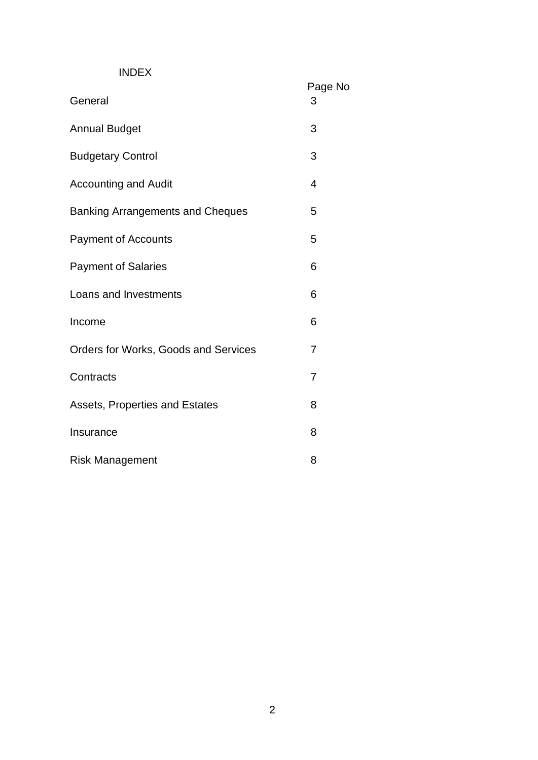# INDEX

| General                                     | Page No<br>3   |
|---------------------------------------------|----------------|
| <b>Annual Budget</b>                        | 3              |
| <b>Budgetary Control</b>                    | 3              |
| <b>Accounting and Audit</b>                 | $\overline{4}$ |
| <b>Banking Arrangements and Cheques</b>     | 5              |
| <b>Payment of Accounts</b>                  | 5              |
| <b>Payment of Salaries</b>                  | 6              |
| Loans and Investments                       | 6              |
| Income                                      | 6              |
| <b>Orders for Works, Goods and Services</b> | $\overline{7}$ |
| Contracts                                   | $\overline{7}$ |
| Assets, Properties and Estates              | 8              |
| Insurance                                   | 8              |
| <b>Risk Management</b>                      | 8              |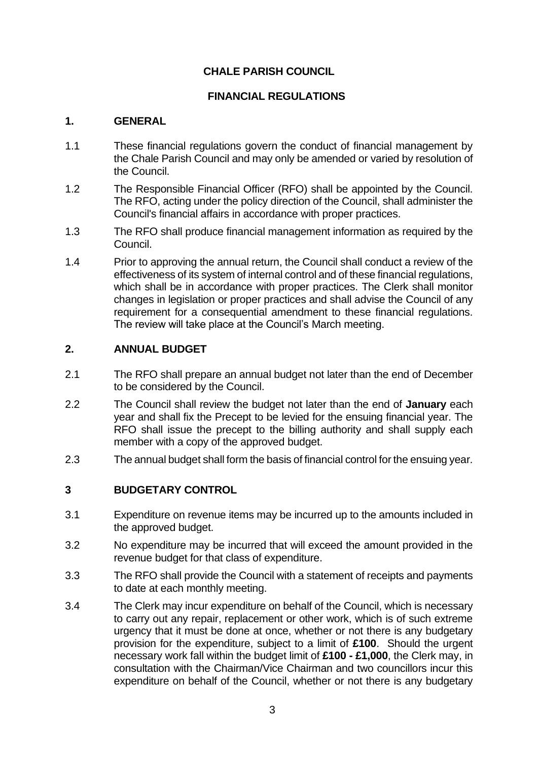# **CHALE PARISH COUNCIL**

#### **FINANCIAL REGULATIONS**

#### **1. GENERAL**

- 1.1 These financial regulations govern the conduct of financial management by the Chale Parish Council and may only be amended or varied by resolution of the Council.
- 1.2 The Responsible Financial Officer (RFO) shall be appointed by the Council. The RFO, acting under the policy direction of the Council, shall administer the Council's financial affairs in accordance with proper practices.
- 1.3 The RFO shall produce financial management information as required by the Council.
- 1.4 Prior to approving the annual return, the Council shall conduct a review of the effectiveness of its system of internal control and of these financial regulations, which shall be in accordance with proper practices. The Clerk shall monitor changes in legislation or proper practices and shall advise the Council of any requirement for a consequential amendment to these financial regulations. The review will take place at the Council's March meeting.

#### **2. ANNUAL BUDGET**

- 2.1 The RFO shall prepare an annual budget not later than the end of December to be considered by the Council.
- 2.2 The Council shall review the budget not later than the end of **January** each year and shall fix the Precept to be levied for the ensuing financial year. The RFO shall issue the precept to the billing authority and shall supply each member with a copy of the approved budget.
- 2.3 The annual budget shall form the basis of financial control for the ensuing year.

#### **3 BUDGETARY CONTROL**

- 3.1 Expenditure on revenue items may be incurred up to the amounts included in the approved budget.
- 3.2 No expenditure may be incurred that will exceed the amount provided in the revenue budget for that class of expenditure.
- 3.3 The RFO shall provide the Council with a statement of receipts and payments to date at each monthly meeting.
- 3.4 The Clerk may incur expenditure on behalf of the Council, which is necessary to carry out any repair, replacement or other work, which is of such extreme urgency that it must be done at once, whether or not there is any budgetary provision for the expenditure, subject to a limit of **£100**. Should the urgent necessary work fall within the budget limit of **£100 - £1,000**, the Clerk may, in consultation with the Chairman/Vice Chairman and two councillors incur this expenditure on behalf of the Council, whether or not there is any budgetary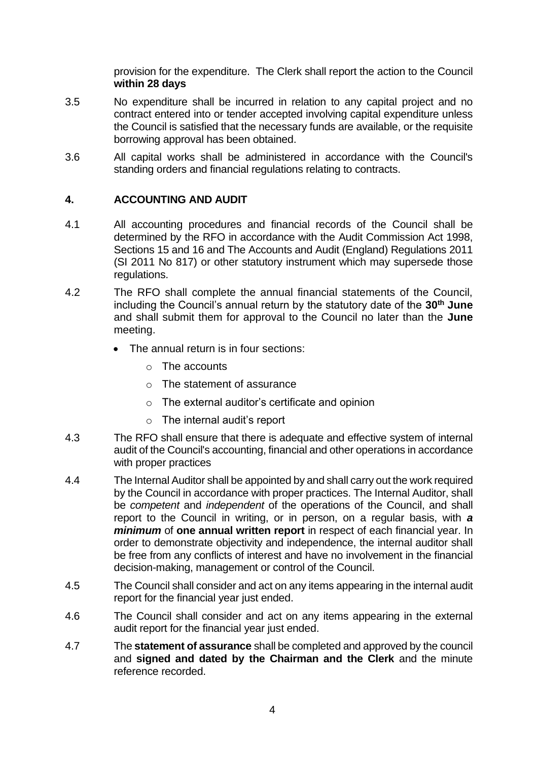provision for the expenditure. The Clerk shall report the action to the Council **within 28 days**

- 3.5 No expenditure shall be incurred in relation to any capital project and no contract entered into or tender accepted involving capital expenditure unless the Council is satisfied that the necessary funds are available, or the requisite borrowing approval has been obtained.
- 3.6 All capital works shall be administered in accordance with the Council's standing orders and financial regulations relating to contracts.

# **4. ACCOUNTING AND AUDIT**

- 4.1 All accounting procedures and financial records of the Council shall be determined by the RFO in accordance with the Audit Commission Act 1998, Sections 15 and 16 and The Accounts and Audit (England) Regulations 2011 (SI 2011 No 817) or other statutory instrument which may supersede those regulations.
- 4.2 The RFO shall complete the annual financial statements of the Council, including the Council's annual return by the statutory date of the **30th June**  and shall submit them for approval to the Council no later than the **June** meeting.
	- The annual return is in four sections:
		- o The accounts
		- o The statement of assurance
		- o The external auditor's certificate and opinion
		- o The internal audit's report
- 4.3 The RFO shall ensure that there is adequate and effective system of internal audit of the Council's accounting, financial and other operations in accordance with proper practices
- 4.4 The Internal Auditor shall be appointed by and shall carry out the work required by the Council in accordance with proper practices. The Internal Auditor, shall be *competent* and *independent* of the operations of the Council, and shall report to the Council in writing, or in person, on a regular basis, with *a minimum* of **one annual written report** in respect of each financial year. In order to demonstrate objectivity and independence, the internal auditor shall be free from any conflicts of interest and have no involvement in the financial decision-making, management or control of the Council.
- 4.5 The Council shall consider and act on any items appearing in the internal audit report for the financial year just ended.
- 4.6 The Council shall consider and act on any items appearing in the external audit report for the financial year just ended.
- 4.7 The **statement of assurance** shall be completed and approved by the council and **signed and dated by the Chairman and the Clerk** and the minute reference recorded.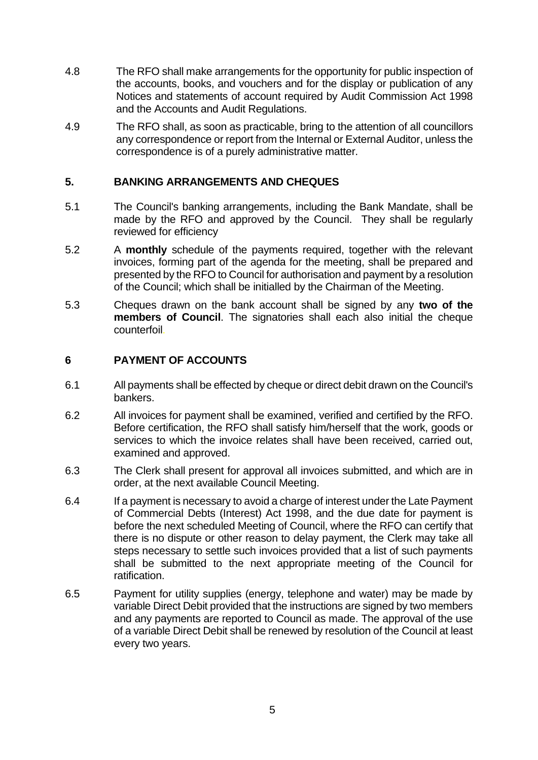- 4.8 The RFO shall make arrangements for the opportunity for public inspection of the accounts, books, and vouchers and for the display or publication of any Notices and statements of account required by Audit Commission Act 1998 and the Accounts and Audit Regulations.
- 4.9 The RFO shall, as soon as practicable, bring to the attention of all councillors any correspondence or report from the Internal or External Auditor, unless the correspondence is of a purely administrative matter.

#### **5. BANKING ARRANGEMENTS AND CHEQUES**

- 5.1 The Council's banking arrangements, including the Bank Mandate, shall be made by the RFO and approved by the Council. They shall be regularly reviewed for efficiency
- 5.2 A **monthly** schedule of the payments required, together with the relevant invoices, forming part of the agenda for the meeting, shall be prepared and presented by the RFO to Council for authorisation and payment by a resolution of the Council; which shall be initialled by the Chairman of the Meeting.
- 5.3 Cheques drawn on the bank account shall be signed by any **two of the members of Council**. The signatories shall each also initial the cheque counterfoil.

#### **6 PAYMENT OF ACCOUNTS**

- 6.1 All payments shall be effected by cheque or direct debit drawn on the Council's bankers.
- 6.2 All invoices for payment shall be examined, verified and certified by the RFO. Before certification, the RFO shall satisfy him/herself that the work, goods or services to which the invoice relates shall have been received, carried out, examined and approved.
- 6.3 The Clerk shall present for approval all invoices submitted, and which are in order, at the next available Council Meeting.
- 6.4 If a payment is necessary to avoid a charge of interest under the Late Payment of Commercial Debts (Interest) Act 1998, and the due date for payment is before the next scheduled Meeting of Council, where the RFO can certify that there is no dispute or other reason to delay payment, the Clerk may take all steps necessary to settle such invoices provided that a list of such payments shall be submitted to the next appropriate meeting of the Council for ratification.
- 6.5 Payment for utility supplies (energy, telephone and water) may be made by variable Direct Debit provided that the instructions are signed by two members and any payments are reported to Council as made. The approval of the use of a variable Direct Debit shall be renewed by resolution of the Council at least every two years.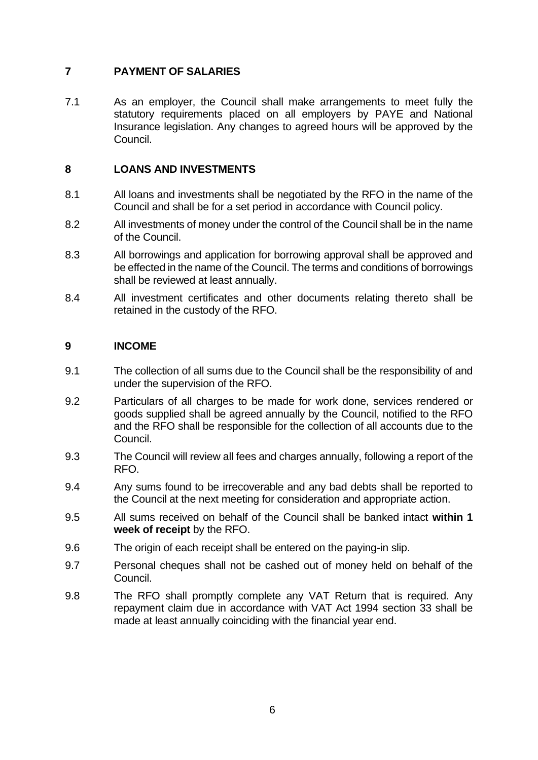# **7 PAYMENT OF SALARIES**

7.1 As an employer, the Council shall make arrangements to meet fully the statutory requirements placed on all employers by PAYE and National Insurance legislation. Any changes to agreed hours will be approved by the Council.

# **8 LOANS AND INVESTMENTS**

- 8.1 All loans and investments shall be negotiated by the RFO in the name of the Council and shall be for a set period in accordance with Council policy.
- 8.2 All investments of money under the control of the Council shall be in the name of the Council.
- 8.3 All borrowings and application for borrowing approval shall be approved and be effected in the name of the Council. The terms and conditions of borrowings shall be reviewed at least annually.
- 8.4 All investment certificates and other documents relating thereto shall be retained in the custody of the RFO.

#### **9 INCOME**

- 9.1 The collection of all sums due to the Council shall be the responsibility of and under the supervision of the RFO.
- 9.2 Particulars of all charges to be made for work done, services rendered or goods supplied shall be agreed annually by the Council, notified to the RFO and the RFO shall be responsible for the collection of all accounts due to the Council.
- 9.3 The Council will review all fees and charges annually, following a report of the RFO.
- 9.4 Any sums found to be irrecoverable and any bad debts shall be reported to the Council at the next meeting for consideration and appropriate action.
- 9.5 All sums received on behalf of the Council shall be banked intact **within 1 week of receipt** by the RFO.
- 9.6 The origin of each receipt shall be entered on the paying-in slip.
- 9.7 Personal cheques shall not be cashed out of money held on behalf of the Council.
- 9.8 The RFO shall promptly complete any VAT Return that is required. Any repayment claim due in accordance with VAT Act 1994 section 33 shall be made at least annually coinciding with the financial year end.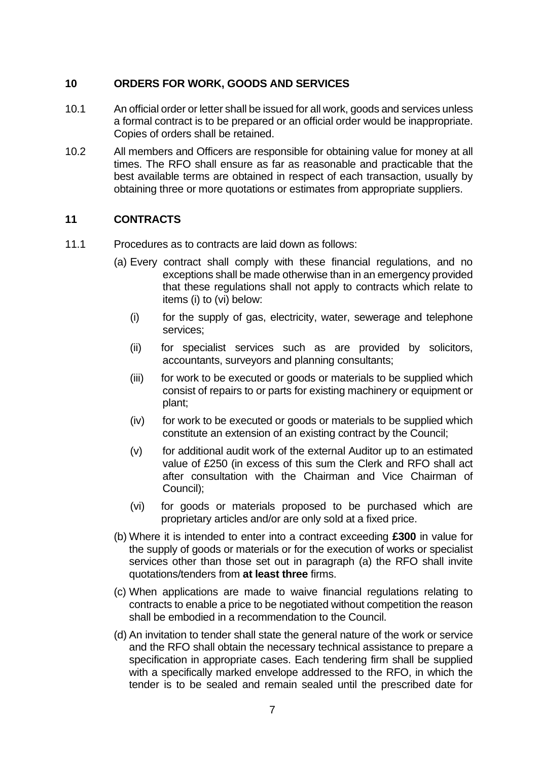#### **10 ORDERS FOR WORK, GOODS AND SERVICES**

- 10.1 An official order or letter shall be issued for all work, goods and services unless a formal contract is to be prepared or an official order would be inappropriate. Copies of orders shall be retained.
- 10.2 All members and Officers are responsible for obtaining value for money at all times. The RFO shall ensure as far as reasonable and practicable that the best available terms are obtained in respect of each transaction, usually by obtaining three or more quotations or estimates from appropriate suppliers.

#### **11 CONTRACTS**

- 11.1 Procedures as to contracts are laid down as follows:
	- (a) Every contract shall comply with these financial regulations, and no exceptions shall be made otherwise than in an emergency provided that these regulations shall not apply to contracts which relate to items (i) to (vi) below:
		- (i) for the supply of gas, electricity, water, sewerage and telephone services;
		- (ii) for specialist services such as are provided by solicitors, accountants, surveyors and planning consultants;
		- (iii) for work to be executed or goods or materials to be supplied which consist of repairs to or parts for existing machinery or equipment or plant;
		- (iv) for work to be executed or goods or materials to be supplied which constitute an extension of an existing contract by the Council;
		- (v) for additional audit work of the external Auditor up to an estimated value of £250 (in excess of this sum the Clerk and RFO shall act after consultation with the Chairman and Vice Chairman of Council);
		- (vi) for goods or materials proposed to be purchased which are proprietary articles and/or are only sold at a fixed price.
	- (b) Where it is intended to enter into a contract exceeding **£300** in value for the supply of goods or materials or for the execution of works or specialist services other than those set out in paragraph (a) the RFO shall invite quotations/tenders from **at least three** firms.
	- (c) When applications are made to waive financial regulations relating to contracts to enable a price to be negotiated without competition the reason shall be embodied in a recommendation to the Council.
	- (d) An invitation to tender shall state the general nature of the work or service and the RFO shall obtain the necessary technical assistance to prepare a specification in appropriate cases. Each tendering firm shall be supplied with a specifically marked envelope addressed to the RFO, in which the tender is to be sealed and remain sealed until the prescribed date for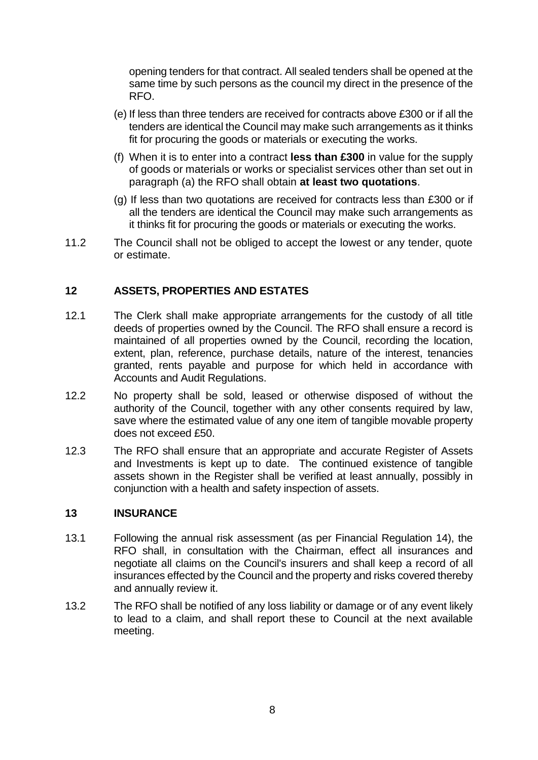opening tenders for that contract. All sealed tenders shall be opened at the same time by such persons as the council my direct in the presence of the RFO.

- (e) If less than three tenders are received for contracts above £300 or if all the tenders are identical the Council may make such arrangements as it thinks fit for procuring the goods or materials or executing the works.
- (f) When it is to enter into a contract **less than £300** in value for the supply of goods or materials or works or specialist services other than set out in paragraph (a) the RFO shall obtain **at least two quotations**.
- (g) If less than two quotations are received for contracts less than £300 or if all the tenders are identical the Council may make such arrangements as it thinks fit for procuring the goods or materials or executing the works.
- 11.2 The Council shall not be obliged to accept the lowest or any tender, quote or estimate.

# **12 ASSETS, PROPERTIES AND ESTATES**

- 12.1 The Clerk shall make appropriate arrangements for the custody of all title deeds of properties owned by the Council. The RFO shall ensure a record is maintained of all properties owned by the Council, recording the location, extent, plan, reference, purchase details, nature of the interest, tenancies granted, rents payable and purpose for which held in accordance with Accounts and Audit Regulations.
- 12.2 No property shall be sold, leased or otherwise disposed of without the authority of the Council, together with any other consents required by law, save where the estimated value of any one item of tangible movable property does not exceed £50.
- 12.3 The RFO shall ensure that an appropriate and accurate Register of Assets and Investments is kept up to date. The continued existence of tangible assets shown in the Register shall be verified at least annually, possibly in conjunction with a health and safety inspection of assets.

#### **13 INSURANCE**

- 13.1 Following the annual risk assessment (as per Financial Regulation 14), the RFO shall, in consultation with the Chairman, effect all insurances and negotiate all claims on the Council's insurers and shall keep a record of all insurances effected by the Council and the property and risks covered thereby and annually review it.
- 13.2 The RFO shall be notified of any loss liability or damage or of any event likely to lead to a claim, and shall report these to Council at the next available meeting.